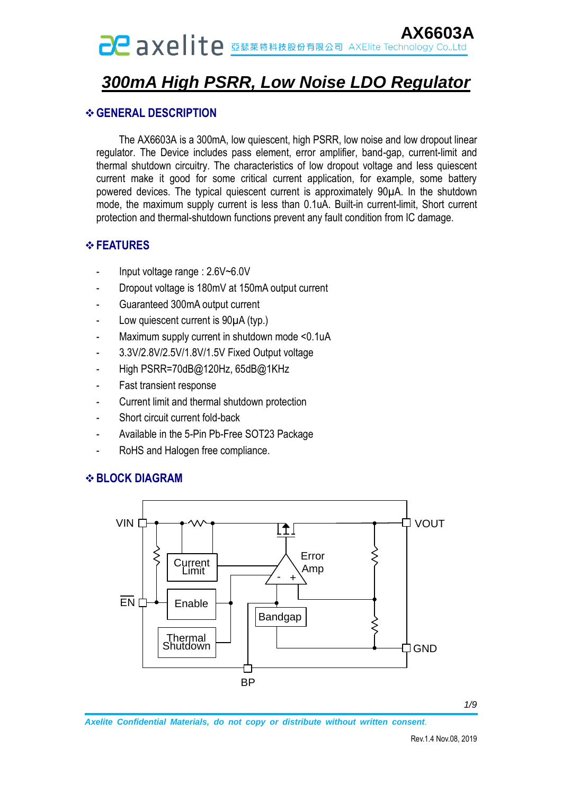## **AXE | I LE ERRABARA AXElite Technology Co.,Ltd**

## *300mA High PSRR, Low Noise LDO Regulator*

#### **GENERAL DESCRIPTION**

 The AX6603A is a 300mA, low quiescent, high PSRR, low noise and low dropout linear regulator. The Device includes pass element, error amplifier, band-gap, current-limit and thermal shutdown circuitry. The characteristics of low dropout voltage and less quiescent current make it good for some critical current application, for example, some battery powered devices. The typical quiescent current is approximately 90µA. In the shutdown mode, the maximum supply current is less than 0.1uA. Built-in current-limit, Short current protection and thermal-shutdown functions prevent any fault condition from IC damage.

#### **FEATURES**

- Input voltage range : 2.6V~6.0V
- Dropout voltage is 180mV at 150mA output current
- Guaranteed 300mA output current
- Low quiescent current is  $90\mu A$  (typ.)
- Maximum supply current in shutdown mode <0.1uA
- 3.3V/2.8V/2.5V/1.8V/1.5V Fixed Output voltage
- High PSRR=70dB@120Hz, 65dB@1KHz
- Fast transient response
- Current limit and thermal shutdown protection
- Short circuit current fold-back
- Available in the 5-Pin Pb-Free SOT23 Package
- RoHS and Halogen free compliance.

#### **BLOCK DIAGRAM**



*Axelite Confidential Materials, do not copy or distribute without written consent*.

*1/9*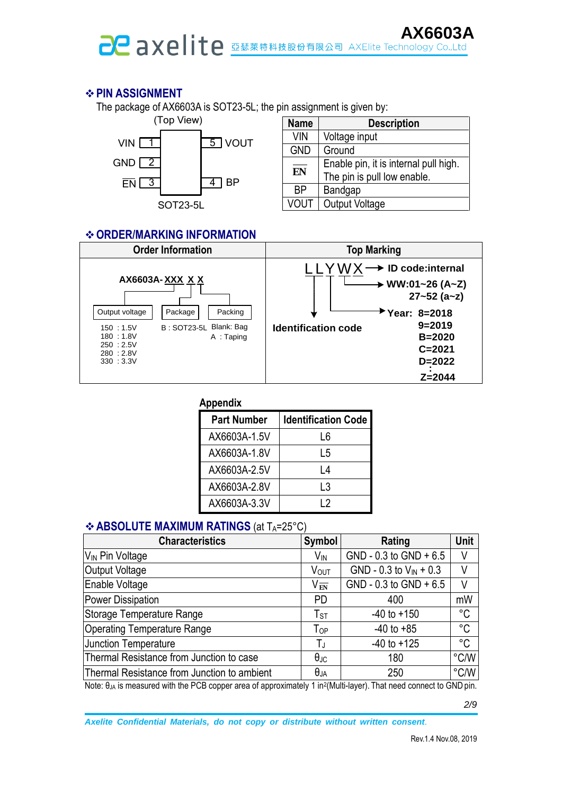# **AX6603A**

### **PIN ASSIGNMENT**

The package of AX6603A is SOT23-5L; the pin assignment is given by:



| <b>Name</b> | <b>Description</b>                    |
|-------------|---------------------------------------|
| <b>VIN</b>  | Voltage input                         |
| <b>GND</b>  | Ground                                |
| EN          | Enable pin, it is internal pull high. |
|             | The pin is pull low enable.           |
| <b>BP</b>   | Bandgap                               |
| <b>VOUT</b> | <b>Output Voltage</b>                 |

#### **ORDER/MARKING INFORMATION**



| <b>Appendix</b>    |                            |
|--------------------|----------------------------|
| <b>Part Number</b> | <b>Identification Code</b> |
| AX6603A-1.5V       | 16                         |
| AX6603A-1.8V       | L5                         |
| AX6603A-2.5V       | l 4                        |
| AX6603A-2.8V       | L3                         |
| AX6603A-3.3V       | l 2                        |

### **❖ ABSOLUTE MAXIMUM RATINGS (at TA=25°C)**

| <b>Characteristics</b>                      | <b>Symbol</b>              | Rating                      | Unit        |
|---------------------------------------------|----------------------------|-----------------------------|-------------|
| V <sub>IN</sub> Pin Voltage                 | $V_{\text{IN}}$            | $GND - 0.3$ to $GND + 6.5$  | V           |
| Output Voltage                              | VOUT                       | GND - 0.3 to $V_{IN}$ + 0.3 | V           |
| Enable Voltage                              | $\rm V_{\overline{EN}}$    | GND - $0.3$ to GND + $6.5$  | V           |
| Power Dissipation                           | <b>PD</b>                  | 400                         | mW          |
| Storage Temperature Range                   | $T_{ST}$                   | $-40$ to $+150$             | $^{\circ}C$ |
| <b>Operating Temperature Range</b>          | $\mathsf{T}_{\mathsf{OP}}$ | $-40$ to $+85$              | $^{\circ}C$ |
| <b>Junction Temperature</b>                 | TJ                         | $-40$ to $+125$             | $^{\circ}C$ |
| Thermal Resistance from Junction to case    | $\theta_{\text{JC}}$       | 180                         | °C/W        |
| Thermal Resistance from Junction to ambient | $\theta_{JA}$              | 250                         | °C/W        |

Note: θ<sub>JA</sub> is measured with the PCB copper area of approximately 1 in<sup>2</sup>(Multi-layer). That need connect to GND pin.

*2/9*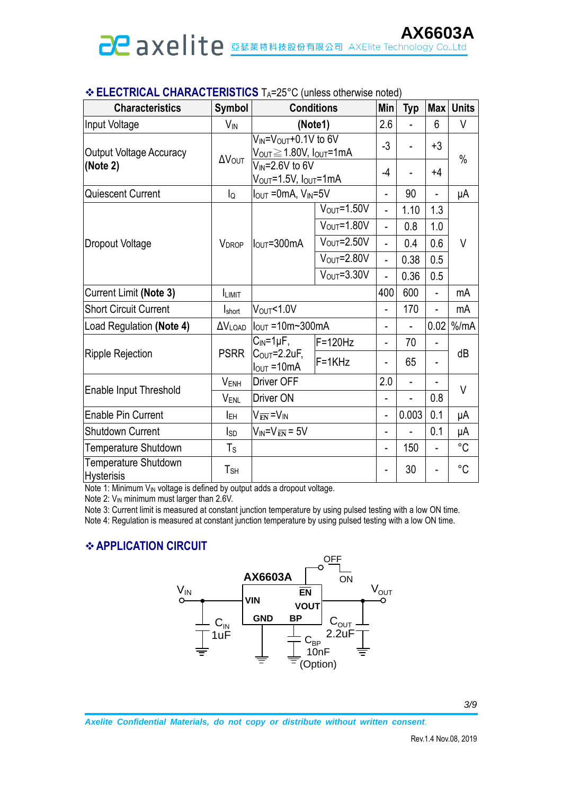| <b>Characteristics</b>                    | <b>Symbol</b>            | <b>Conditions</b>                                                                                       |                          | <b>Min</b>     | <b>Typ</b>               | <b>Max</b>     | <b>Units</b> |
|-------------------------------------------|--------------------------|---------------------------------------------------------------------------------------------------------|--------------------------|----------------|--------------------------|----------------|--------------|
| Input Voltage                             | $V_{IN}$                 |                                                                                                         | (Note1)                  | 2.6            |                          | 6              | V            |
| <b>Output Voltage Accuracy</b>            | $\Delta V_{\text{OUT}}$  | V <sub>IN</sub> =V <sub>OUT</sub> +0.1V to 6V<br>$V_{\text{OUT}}\!\geq\!1.80$ V, l $_{\text{OUT}}$ =1mA |                          | $-3$           |                          | $+3$           | $\%$         |
| (Note 2)                                  |                          | $V_{IN} = 2.6V$ to 6V<br>V <sub>OUT</sub> =1.5V, I <sub>OUT</sub> =1mA                                  |                          | $-4$           |                          | $+4$           |              |
| Quiescent Current                         | lQ                       | $I_{\text{OUT}} = 0 \text{mA}$ , $V_{\text{IN}} = 5V$                                                   |                          | $\overline{a}$ | 90                       |                | μA           |
|                                           |                          | $I_{\text{OUT}} = 300 \text{mA}$                                                                        | $VOUT=1.50V$             | $\overline{a}$ | 1.10                     | 1.3            |              |
|                                           | <b>VDROP</b>             |                                                                                                         | $V_{OUT} = 1.80V$        | $\overline{a}$ | 0.8                      | 1.0            | $\vee$       |
| <b>Dropout Voltage</b>                    |                          |                                                                                                         | $V_{\text{OUT}} = 2.50V$ | $\overline{a}$ | 0.4                      | 0.6            |              |
|                                           |                          |                                                                                                         | $V_{\text{OUT}} = 2.80V$ | $\overline{a}$ | 0.38                     | 0.5            |              |
|                                           |                          |                                                                                                         | $V_{\text{OUT}} = 3.30V$ | L.             | 0.36                     | 0.5            |              |
| Current Limit (Note 3)                    | <b>ILIMIT</b>            |                                                                                                         |                          | 400            | 600                      | $\overline{a}$ | mA           |
| <b>Short Circuit Current</b>              | <b>I</b> short           | $V_{\text{OUT}}$ <1.0V                                                                                  |                          | ÷,             | 170                      |                | mA           |
| Load Regulation (Note 4)                  | $\Delta V_{\text{LOAD}}$ | $ I_{\text{OUT}} $ = 10m~300mA                                                                          |                          | L.             |                          | 0.02           | % /mA        |
|                                           |                          | $C_{\text{IN}}$ =1µF,                                                                                   | F=120Hz                  | $\overline{a}$ | 70                       |                |              |
| <b>Ripple Rejection</b>                   | <b>PSRR</b>              | $C_{\text{OUT}}=2.2$ uF,<br>$I_{\text{OUT}} = 10 \text{mA}$                                             | $F = 1K$ Hz              |                | 65                       |                | dB           |
| Enable Input Threshold                    | V <sub>ENH</sub>         | <b>Driver OFF</b>                                                                                       |                          | 2.0            | $\overline{\phantom{a}}$ |                | V            |
|                                           | VENL                     | <b>Driver ON</b>                                                                                        |                          |                |                          | 0.8            |              |
| <b>Enable Pin Current</b>                 | <b>IEH</b>               | $V_{\overline{\text{EN}}}$ =V <sub>IN</sub>                                                             |                          | $\overline{a}$ | 0.003                    | 0.1            | μA           |
| <b>Shutdown Current</b>                   | Isp                      | $V_{IN} = V_{E\overline{N}} = 5V$                                                                       |                          | $\overline{a}$ |                          | 0.1            | μA           |
| Temperature Shutdown                      | $\mathsf T_{\mathsf S}$  |                                                                                                         |                          | L.             | 150                      |                | $^{\circ}C$  |
| Temperature Shutdown<br><b>Hysterisis</b> | $T_{SH}$                 |                                                                                                         |                          | $\overline{a}$ | 30                       |                | $^{\circ}C$  |

### **ELECTRICAL CHARACTERISTICS** TA=25°C (unless otherwise noted)

Note 1: Minimum  $V_{\text{IN}}$  voltage is defined by output adds a dropout voltage.

Note 2: V<sub>IN</sub> minimum must larger than 2.6V.

Note 3: Current limit is measured at constant junction temperature by using pulsed testing with a low ON time.

Note 4: Regulation is measured at constant junction temperature by using pulsed testing with a low ON time.

#### **APPLICATION CIRCUIT**

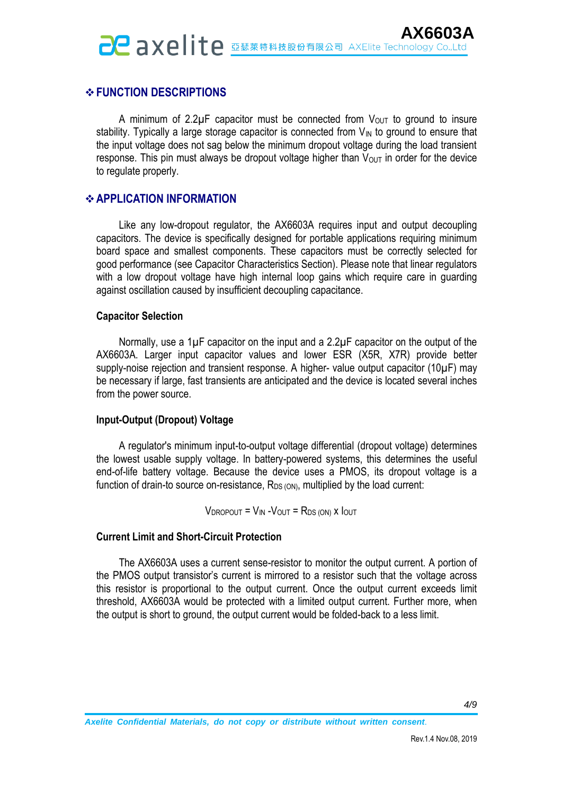### **FUNCTION DESCRIPTIONS**

A minimum of 2.2 $\mu$ F capacitor must be connected from  $V_{\text{OUT}}$  to ground to insure stability. Typically a large storage capacitor is connected from  $V_{IN}$  to ground to ensure that the input voltage does not sag below the minimum dropout voltage during the load transient response. This pin must always be dropout voltage higher than  $V_{\text{OUT}}$  in order for the device to regulate properly.

#### **APPLICATION INFORMATION**

Like any low-dropout regulator, the AX6603A requires input and output decoupling capacitors. The device is specifically designed for portable applications requiring minimum board space and smallest components. These capacitors must be correctly selected for good performance (see Capacitor Characteristics Section). Please note that linear regulators with a low dropout voltage have high internal loop gains which require care in guarding against oscillation caused by insufficient decoupling capacitance.

#### **Capacitor Selection**

Normally, use a 1µF capacitor on the input and a 2.2µF capacitor on the output of the AX6603A. Larger input capacitor values and lower ESR (X5R, X7R) provide better supply-noise rejection and transient response. A higher- value output capacitor (10µF) may be necessary if large, fast transients are anticipated and the device is located several inches from the power source.

#### **Input-Output (Dropout) Voltage**

A regulator's minimum input-to-output voltage differential (dropout voltage) determines the lowest usable supply voltage. In battery-powered systems, this determines the useful end-of-life battery voltage. Because the device uses a PMOS, its dropout voltage is a function of drain-to source on-resistance,  $R_{DS(ON)}$ , multiplied by the load current:

 $V_{\text{DROPOUT}} = V_{\text{IN}} - V_{\text{OUT}} = R_{\text{DS (ON)}}$  x  $I_{\text{OUT}}$ 

#### **Current Limit and Short-Circuit Protection**

 The AX6603A uses a current sense-resistor to monitor the output current. A portion of the PMOS output transistor's current is mirrored to a resistor such that the voltage across this resistor is proportional to the output current. Once the output current exceeds limit threshold, AX6603A would be protected with a limited output current. Further more, when the output is short to ground, the output current would be folded-back to a less limit.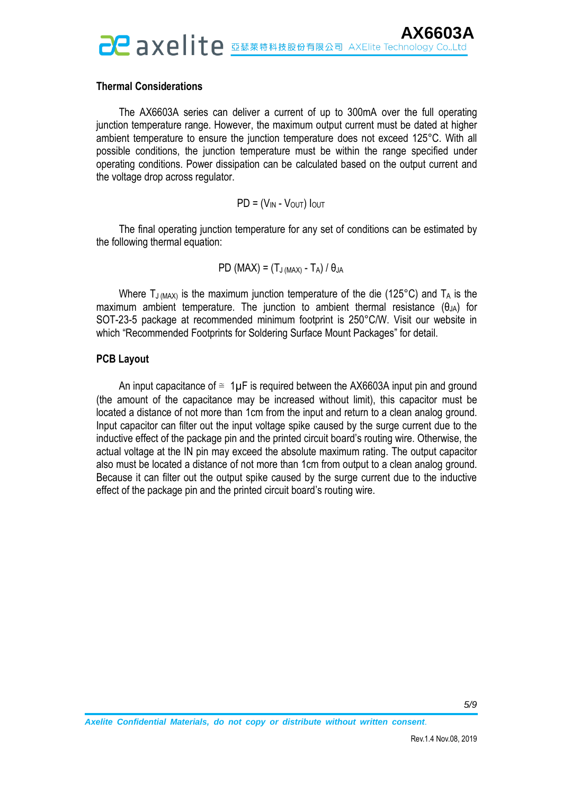#### **Thermal Considerations**

 The AX6603A series can deliver a current of up to 300mA over the full operating junction temperature range. However, the maximum output current must be dated at higher ambient temperature to ensure the junction temperature does not exceed 125°C. With all possible conditions, the junction temperature must be within the range specified under operating conditions. Power dissipation can be calculated based on the output current and the voltage drop across regulator.

#### $PD = (V_{IN} - V_{OUT})$   $I_{OUT}$

The final operating junction temperature for any set of conditions can be estimated by the following thermal equation:

$$
PD (MAX) = (T_{J (MAX)} - T_A) / \theta_{JA}
$$

Where  $T_{J (MAX)}$  is the maximum junction temperature of the die (125°C) and  $T_A$  is the maximum ambient temperature. The junction to ambient thermal resistance (θ<sub>JA</sub>) for SOT-23-5 package at recommended minimum footprint is 250°C/W. Visit our website in which "Recommended Footprints for Soldering Surface Mount Packages" for detail.

#### **PCB Layout**

An input capacitance of  $\approx 1\mu$ F is required between the AX6603A input pin and ground (the amount of the capacitance may be increased without limit), this capacitor must be located a distance of not more than 1cm from the input and return to a clean analog ground. Input capacitor can filter out the input voltage spike caused by the surge current due to the inductive effect of the package pin and the printed circuit board's routing wire. Otherwise, the actual voltage at the IN pin may exceed the absolute maximum rating. The output capacitor also must be located a distance of not more than 1cm from output to a clean analog ground. Because it can filter out the output spike caused by the surge current due to the inductive effect of the package pin and the printed circuit board's routing wire.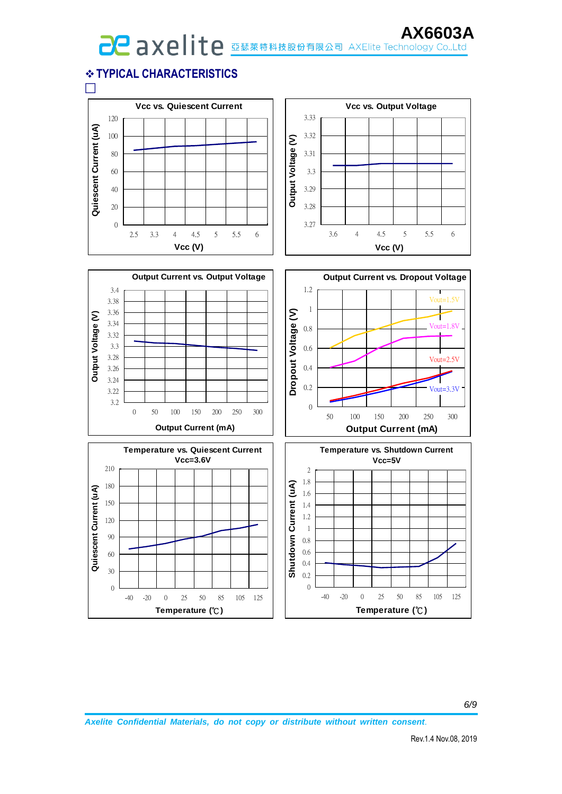**AX60037**<br>AXELITE **EXAMPLE AND AXELITE Technology Co.,Ltd** 

## **TYPICAL CHARACTERISTICS**

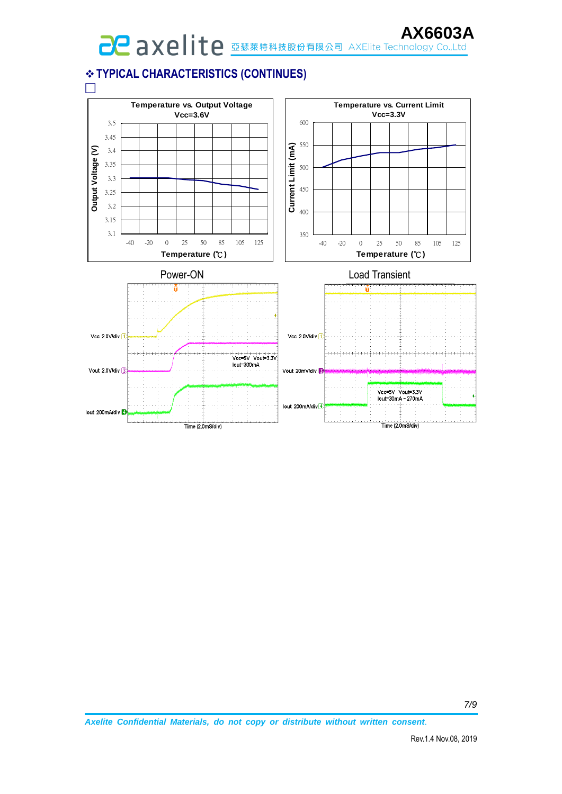# **AX60U31**<br>AXEL AXE | İte **ELERGER AXEL AXEL AXEL AX60U31**

## **TYPICAL CHARACTERISTICS (CONTINUES)**

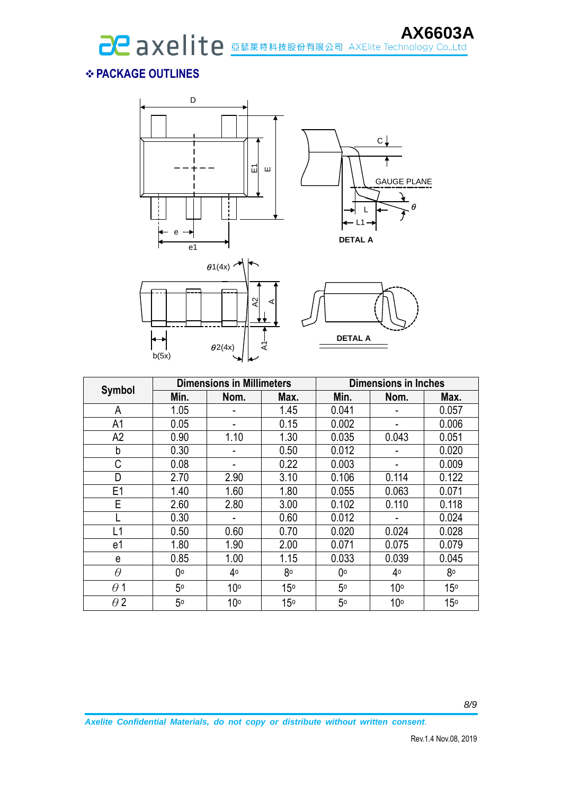## **PACKAGE OUTLINES**



|                |      | <b>Dimensions in Millimeters</b> |                 | <b>Dimensions in Inches</b> |                 |                 |  |
|----------------|------|----------------------------------|-----------------|-----------------------------|-----------------|-----------------|--|
| <b>Symbol</b>  | Min. | Nom.                             | Max.            | Min.                        | Nom.            | Max.            |  |
| A              | 1.05 |                                  | 1.45            | 0.041                       |                 | 0.057           |  |
| A1             | 0.05 |                                  | 0.15            | 0.002                       |                 | 0.006           |  |
| A2             | 0.90 | 1.10                             | 1.30            | 0.035                       | 0.043           | 0.051           |  |
| b              | 0.30 |                                  | 0.50            | 0.012                       |                 | 0.020           |  |
| C              | 0.08 | ۰                                | 0.22            | 0.003                       |                 | 0.009           |  |
| D              | 2.70 | 2.90                             | 3.10            | 0.106                       | 0.114           | 0.122           |  |
| E <sub>1</sub> | 1.40 | 1.60                             | 1.80            | 0.055                       | 0.063           | 0.071           |  |
| E              | 2.60 | 2.80                             | 3.00            | 0.102                       | 0.110           | 0.118           |  |
|                | 0.30 |                                  | 0.60            | 0.012                       |                 | 0.024           |  |
| L1             | 0.50 | 0.60                             | 0.70            | 0.020                       | 0.024           | 0.028           |  |
| e1             | 1.80 | 1.90                             | 2.00            | 0.071                       | 0.075           | 0.079           |  |
| e              | 0.85 | 1.00                             | 1.15            | 0.033                       | 0.039           | 0.045           |  |
| $\theta$       | 0°   | 40                               | 80              | 0°                          | 40              | 80              |  |
| $\theta$ 1     | 50   | 10 <sup>o</sup>                  | 15 <sup>°</sup> | 5 <sup>o</sup>              | 10 <sup>o</sup> | 15 <sup>°</sup> |  |
| $\theta$ 2     | 5°   | 10 <sup>o</sup>                  | 15 <sup>o</sup> | 5 <sup>o</sup>              | 10 <sup>o</sup> | 15 <sup>o</sup> |  |